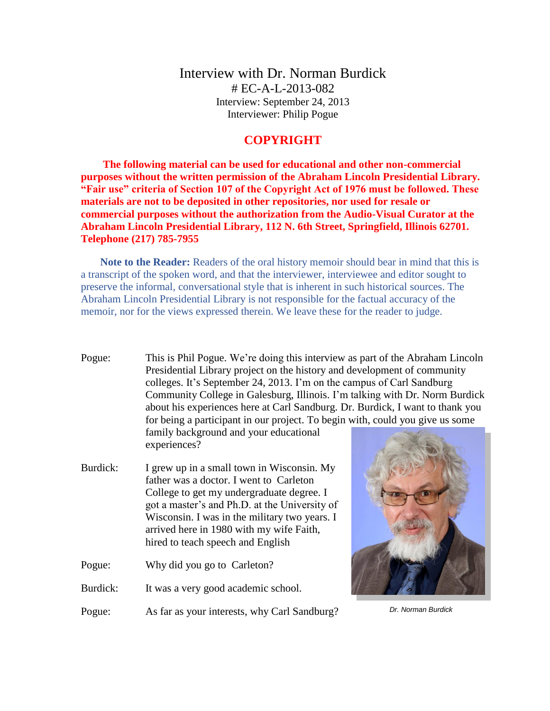Interview with Dr. Norman Burdick # EC-A-L-2013-082 Interview: September 24, 2013 Interviewer: Philip Pogue

## **COPYRIGHT**

**The following material can be used for educational and other non-commercial purposes without the written permission of the Abraham Lincoln Presidential Library. "Fair use" criteria of Section 107 of the Copyright Act of 1976 must be followed. These materials are not to be deposited in other repositories, nor used for resale or commercial purposes without the authorization from the Audio-Visual Curator at the Abraham Lincoln Presidential Library, 112 N. 6th Street, Springfield, Illinois 62701. Telephone (217) 785-7955**

**Note to the Reader:** Readers of the oral history memoir should bear in mind that this is a transcript of the spoken word, and that the interviewer, interviewee and editor sought to preserve the informal, conversational style that is inherent in such historical sources. The Abraham Lincoln Presidential Library is not responsible for the factual accuracy of the memoir, nor for the views expressed therein. We leave these for the reader to judge.

Pogue: This is Phil Pogue. We're doing this interview as part of the Abraham Lincoln Presidential Library project on the history and development of community colleges. It's September 24, 2013. I'm on the campus of Carl Sandburg Community College in Galesburg, Illinois. I'm talking with Dr. Norm Burdick about his experiences here at Carl Sandburg. Dr. Burdick, I want to thank you for being a participant in our project. To begin with, could you give us some family background and your educational

experiences?

- Burdick: I grew up in a small town in Wisconsin. My father was a doctor. I went to Carleton College to get my undergraduate degree. I got a master's and Ph.D. at the University of Wisconsin. I was in the military two years. I arrived here in 1980 with my wife Faith, hired to teach speech and English
- Pogue: Why did you go to Carleton?
- Burdick: It was a very good academic school.

Pogue: As far as your interests, why Carl Sandburg?



*Dr. Norman Burdick*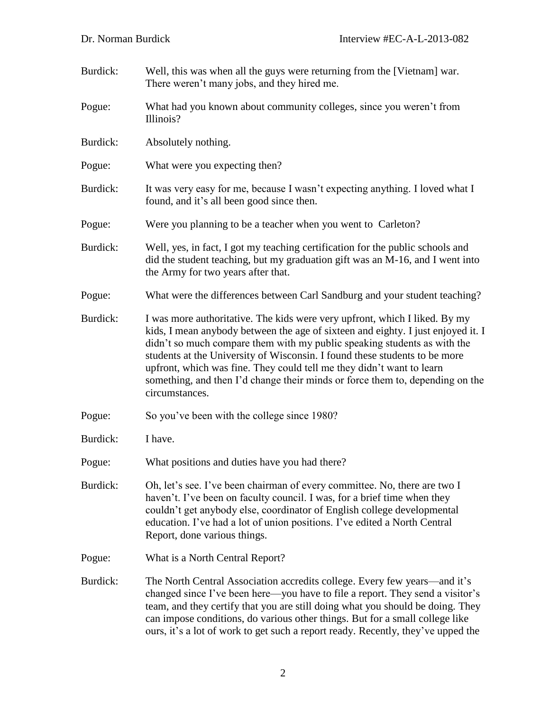- Burdick: Well, this was when all the guys were returning from the [Vietnam] war. There weren't many jobs, and they hired me.
- Pogue: What had you known about community colleges, since you weren't from Illinois?
- Burdick: Absolutely nothing.
- Pogue: What were you expecting then?
- Burdick: It was very easy for me, because I wasn't expecting anything. I loved what I found, and it's all been good since then.
- Pogue: Were you planning to be a teacher when you went to Carleton?
- Burdick: Well, yes, in fact, I got my teaching certification for the public schools and did the student teaching, but my graduation gift was an M-16, and I went into the Army for two years after that.
- Pogue: What were the differences between Carl Sandburg and your student teaching?
- Burdick: I was more authoritative. The kids were very upfront, which I liked. By my kids, I mean anybody between the age of sixteen and eighty. I just enjoyed it. I didn't so much compare them with my public speaking students as with the students at the University of Wisconsin. I found these students to be more upfront, which was fine. They could tell me they didn't want to learn something, and then I'd change their minds or force them to, depending on the circumstances.
- Pogue: So you've been with the college since 1980?
- Burdick: I have.
- Pogue: What positions and duties have you had there?
- Burdick: Oh, let's see. I've been chairman of every committee. No, there are two I haven't. I've been on faculty council. I was, for a brief time when they couldn't get anybody else, coordinator of English college developmental education. I've had a lot of union positions. I've edited a North Central Report, done various things.
- Pogue: What is a North Central Report?
- Burdick: The North Central Association accredits college. Every few years—and it's changed since I've been here—you have to file a report. They send a visitor's team, and they certify that you are still doing what you should be doing. They can impose conditions, do various other things. But for a small college like ours, it's a lot of work to get such a report ready. Recently, they've upped the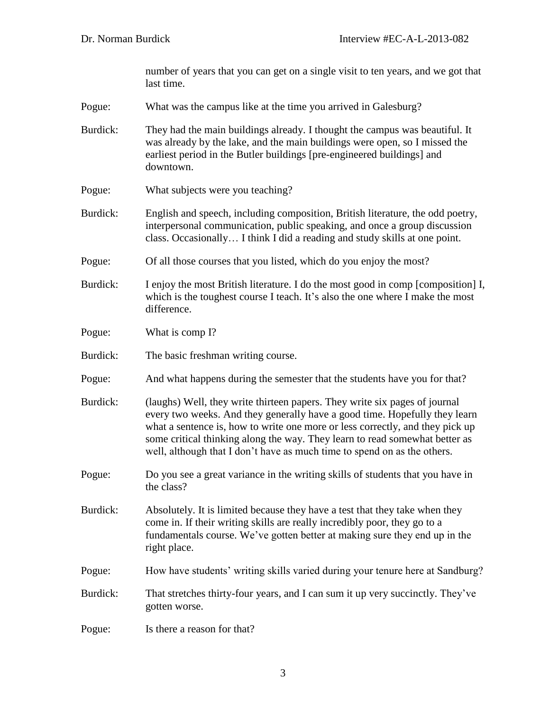number of years that you can get on a single visit to ten years, and we got that last time.

- Pogue: What was the campus like at the time you arrived in Galesburg?
- Burdick: They had the main buildings already. I thought the campus was beautiful. It was already by the lake, and the main buildings were open, so I missed the earliest period in the Butler buildings [pre-engineered buildings] and downtown.
- Pogue: What subjects were you teaching?
- Burdick: English and speech, including composition, British literature, the odd poetry, interpersonal communication, public speaking, and once a group discussion class. Occasionally… I think I did a reading and study skills at one point.
- Pogue: Of all those courses that you listed, which do you enjoy the most?
- Burdick: I enjoy the most British literature. I do the most good in comp [composition] I, which is the toughest course I teach. It's also the one where I make the most difference.
- Pogue: What is comp I?
- Burdick: The basic freshman writing course.
- Pogue: And what happens during the semester that the students have you for that?
- Burdick: (laughs) Well, they write thirteen papers. They write six pages of journal every two weeks. And they generally have a good time. Hopefully they learn what a sentence is, how to write one more or less correctly, and they pick up some critical thinking along the way. They learn to read somewhat better as well, although that I don't have as much time to spend on as the others.
- Pogue: Do you see a great variance in the writing skills of students that you have in the class?
- Burdick: Absolutely. It is limited because they have a test that they take when they come in. If their writing skills are really incredibly poor, they go to a fundamentals course. We've gotten better at making sure they end up in the right place.
- Pogue: How have students' writing skills varied during your tenure here at Sandburg?
- Burdick: That stretches thirty-four years, and I can sum it up very succinctly. They've gotten worse.
- Pogue: Is there a reason for that?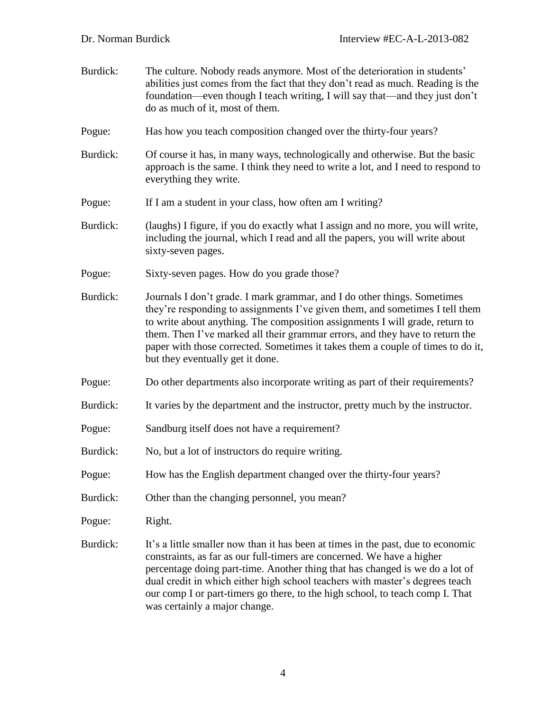| Burdick: | The culture. Nobody reads anymore. Most of the deterioration in students'<br>abilities just comes from the fact that they don't read as much. Reading is the<br>foundation—even though I teach writing, I will say that—and they just don't<br>do as much of it, most of them.                                                                                                                                                                  |
|----------|-------------------------------------------------------------------------------------------------------------------------------------------------------------------------------------------------------------------------------------------------------------------------------------------------------------------------------------------------------------------------------------------------------------------------------------------------|
| Pogue:   | Has how you teach composition changed over the thirty-four years?                                                                                                                                                                                                                                                                                                                                                                               |
| Burdick: | Of course it has, in many ways, technologically and otherwise. But the basic<br>approach is the same. I think they need to write a lot, and I need to respond to<br>everything they write.                                                                                                                                                                                                                                                      |
| Pogue:   | If I am a student in your class, how often am I writing?                                                                                                                                                                                                                                                                                                                                                                                        |
| Burdick: | (laughs) I figure, if you do exactly what I assign and no more, you will write,<br>including the journal, which I read and all the papers, you will write about<br>sixty-seven pages.                                                                                                                                                                                                                                                           |
| Pogue:   | Sixty-seven pages. How do you grade those?                                                                                                                                                                                                                                                                                                                                                                                                      |
| Burdick: | Journals I don't grade. I mark grammar, and I do other things. Sometimes<br>they're responding to assignments I've given them, and sometimes I tell them<br>to write about anything. The composition assignments I will grade, return to<br>them. Then I've marked all their grammar errors, and they have to return the<br>paper with those corrected. Sometimes it takes them a couple of times to do it,<br>but they eventually get it done. |
| Pogue:   | Do other departments also incorporate writing as part of their requirements?                                                                                                                                                                                                                                                                                                                                                                    |
| Burdick: | It varies by the department and the instructor, pretty much by the instructor.                                                                                                                                                                                                                                                                                                                                                                  |
| Pogue:   | Sandburg itself does not have a requirement?                                                                                                                                                                                                                                                                                                                                                                                                    |
| Burdick: | No, but a lot of instructors do require writing.                                                                                                                                                                                                                                                                                                                                                                                                |
| Pogue:   | How has the English department changed over the thirty-four years?                                                                                                                                                                                                                                                                                                                                                                              |
| Burdick: | Other than the changing personnel, you mean?                                                                                                                                                                                                                                                                                                                                                                                                    |
| Pogue:   | Right.                                                                                                                                                                                                                                                                                                                                                                                                                                          |
| Burdick: | It's a little smaller now than it has been at times in the past, due to economic<br>constraints, as far as our full-timers are concerned. We have a higher<br>percentage doing part-time. Another thing that has changed is we do a lot of<br>dual credit in which either high school teachers with master's degrees teach<br>our comp I or part-timers go there, to the high school, to teach comp I. That<br>was certainly a major change.    |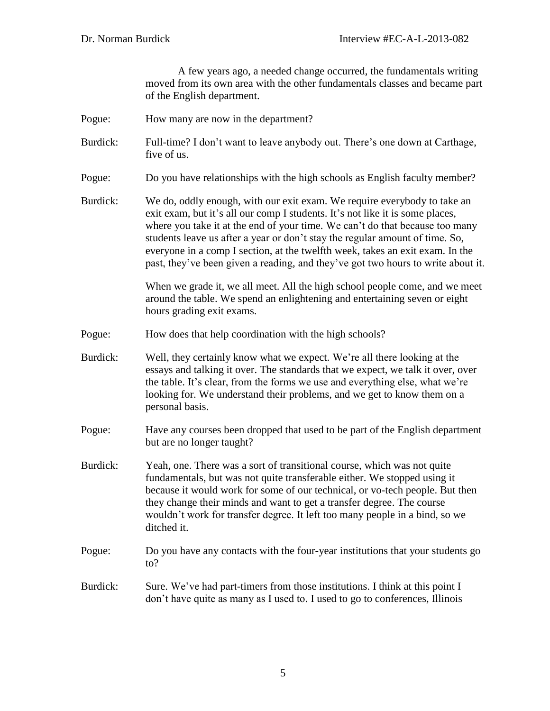A few years ago, a needed change occurred, the fundamentals writing moved from its own area with the other fundamentals classes and became part of the English department.

- Pogue: How many are now in the department?
- Burdick: Full-time? I don't want to leave anybody out. There's one down at Carthage, five of us.
- Pogue: Do you have relationships with the high schools as English faculty member?
- Burdick: We do, oddly enough, with our exit exam. We require everybody to take an exit exam, but it's all our comp I students. It's not like it is some places, where you take it at the end of your time. We can't do that because too many students leave us after a year or don't stay the regular amount of time. So, everyone in a comp I section, at the twelfth week, takes an exit exam. In the past, they've been given a reading, and they've got two hours to write about it.

When we grade it, we all meet. All the high school people come, and we meet around the table. We spend an enlightening and entertaining seven or eight hours grading exit exams.

- Pogue: How does that help coordination with the high schools?
- Burdick: Well, they certainly know what we expect. We're all there looking at the essays and talking it over. The standards that we expect, we talk it over, over the table. It's clear, from the forms we use and everything else, what we're looking for. We understand their problems, and we get to know them on a personal basis.
- Pogue: Have any courses been dropped that used to be part of the English department but are no longer taught?
- Burdick: Yeah, one. There was a sort of transitional course, which was not quite fundamentals, but was not quite transferable either. We stopped using it because it would work for some of our technical, or vo-tech people. But then they change their minds and want to get a transfer degree. The course wouldn't work for transfer degree. It left too many people in a bind, so we ditched it.
- Pogue: Do you have any contacts with the four-year institutions that your students go to?
- Burdick: Sure. We've had part-timers from those institutions. I think at this point I don't have quite as many as I used to. I used to go to conferences, Illinois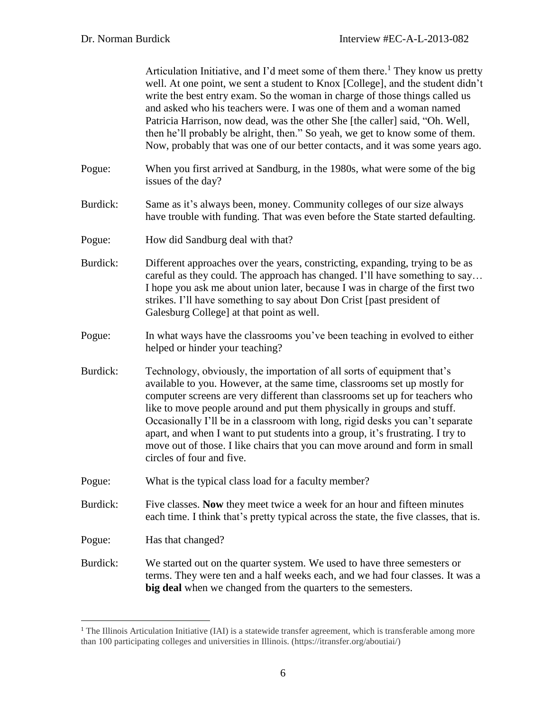$\overline{a}$ 

|          | Articulation Initiative, and I'd meet some of them there. <sup>1</sup> They know us pretty<br>well. At one point, we sent a student to Knox [College], and the student didn't<br>write the best entry exam. So the woman in charge of those things called us<br>and asked who his teachers were. I was one of them and a woman named<br>Patricia Harrison, now dead, was the other She [the caller] said, "Oh. Well,<br>then he'll probably be alright, then." So yeah, we get to know some of them.<br>Now, probably that was one of our better contacts, and it was some years ago.          |
|----------|------------------------------------------------------------------------------------------------------------------------------------------------------------------------------------------------------------------------------------------------------------------------------------------------------------------------------------------------------------------------------------------------------------------------------------------------------------------------------------------------------------------------------------------------------------------------------------------------|
| Pogue:   | When you first arrived at Sandburg, in the 1980s, what were some of the big<br>issues of the day?                                                                                                                                                                                                                                                                                                                                                                                                                                                                                              |
| Burdick: | Same as it's always been, money. Community colleges of our size always<br>have trouble with funding. That was even before the State started defaulting.                                                                                                                                                                                                                                                                                                                                                                                                                                        |
| Pogue:   | How did Sandburg deal with that?                                                                                                                                                                                                                                                                                                                                                                                                                                                                                                                                                               |
| Burdick: | Different approaches over the years, constricting, expanding, trying to be as<br>careful as they could. The approach has changed. I'll have something to say<br>I hope you ask me about union later, because I was in charge of the first two<br>strikes. I'll have something to say about Don Crist [past president of<br>Galesburg College] at that point as well.                                                                                                                                                                                                                           |
| Pogue:   | In what ways have the classrooms you've been teaching in evolved to either<br>helped or hinder your teaching?                                                                                                                                                                                                                                                                                                                                                                                                                                                                                  |
| Burdick: | Technology, obviously, the importation of all sorts of equipment that's<br>available to you. However, at the same time, classrooms set up mostly for<br>computer screens are very different than classrooms set up for teachers who<br>like to move people around and put them physically in groups and stuff.<br>Occasionally I'll be in a classroom with long, rigid desks you can't separate<br>apart, and when I want to put students into a group, it's frustrating. I try to<br>move out of those. I like chairs that you can move around and form in small<br>circles of four and five. |
| Pogue:   | What is the typical class load for a faculty member?                                                                                                                                                                                                                                                                                                                                                                                                                                                                                                                                           |
| Burdick: | Five classes. Now they meet twice a week for an hour and fifteen minutes<br>each time. I think that's pretty typical across the state, the five classes, that is.                                                                                                                                                                                                                                                                                                                                                                                                                              |
| Pogue:   | Has that changed?                                                                                                                                                                                                                                                                                                                                                                                                                                                                                                                                                                              |
| Burdick: | We started out on the quarter system. We used to have three semesters or<br>terms. They were ten and a half weeks each, and we had four classes. It was a<br>big deal when we changed from the quarters to the semesters.                                                                                                                                                                                                                                                                                                                                                                      |
|          |                                                                                                                                                                                                                                                                                                                                                                                                                                                                                                                                                                                                |

 $<sup>1</sup>$  The Illinois Articulation Initiative (IAI) is a statewide transfer agreement, which is transferable among more</sup> than 100 participating colleges and universities in Illinois. (https://itransfer.org/aboutiai/)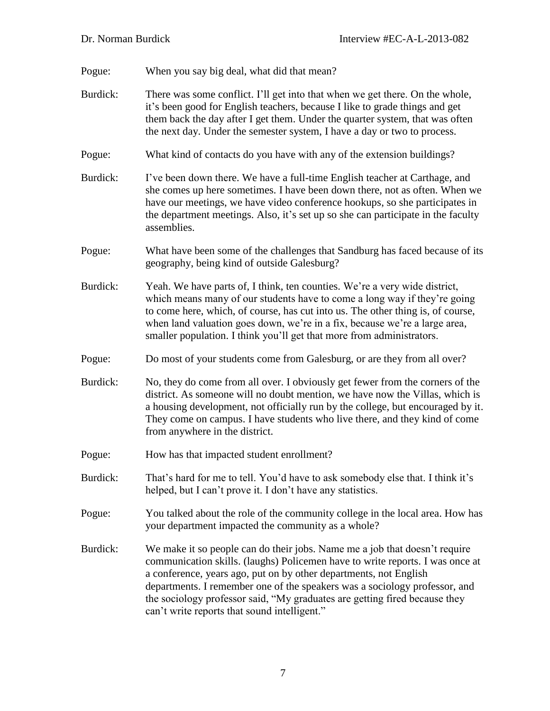Pogue: When you say big deal, what did that mean?

- Burdick: There was some conflict. I'll get into that when we get there. On the whole, it's been good for English teachers, because I like to grade things and get them back the day after I get them. Under the quarter system, that was often the next day. Under the semester system, I have a day or two to process.
- Pogue: What kind of contacts do you have with any of the extension buildings?
- Burdick: I've been down there. We have a full-time English teacher at Carthage, and she comes up here sometimes. I have been down there, not as often. When we have our meetings, we have video conference hookups, so she participates in the department meetings. Also, it's set up so she can participate in the faculty assemblies.
- Pogue: What have been some of the challenges that Sandburg has faced because of its geography, being kind of outside Galesburg?
- Burdick: Yeah. We have parts of, I think, ten counties. We're a very wide district, which means many of our students have to come a long way if they're going to come here, which, of course, has cut into us. The other thing is, of course, when land valuation goes down, we're in a fix, because we're a large area, smaller population. I think you'll get that more from administrators.
- Pogue: Do most of your students come from Galesburg, or are they from all over?
- Burdick: No, they do come from all over. I obviously get fewer from the corners of the district. As someone will no doubt mention, we have now the Villas, which is a housing development, not officially run by the college, but encouraged by it. They come on campus. I have students who live there, and they kind of come from anywhere in the district.
- Pogue: How has that impacted student enrollment?
- Burdick: That's hard for me to tell. You'd have to ask somebody else that. I think it's helped, but I can't prove it. I don't have any statistics.
- Pogue: You talked about the role of the community college in the local area. How has your department impacted the community as a whole?
- Burdick: We make it so people can do their jobs. Name me a job that doesn't require communication skills. (laughs) Policemen have to write reports. I was once at a conference, years ago, put on by other departments, not English departments. I remember one of the speakers was a sociology professor, and the sociology professor said, "My graduates are getting fired because they can't write reports that sound intelligent."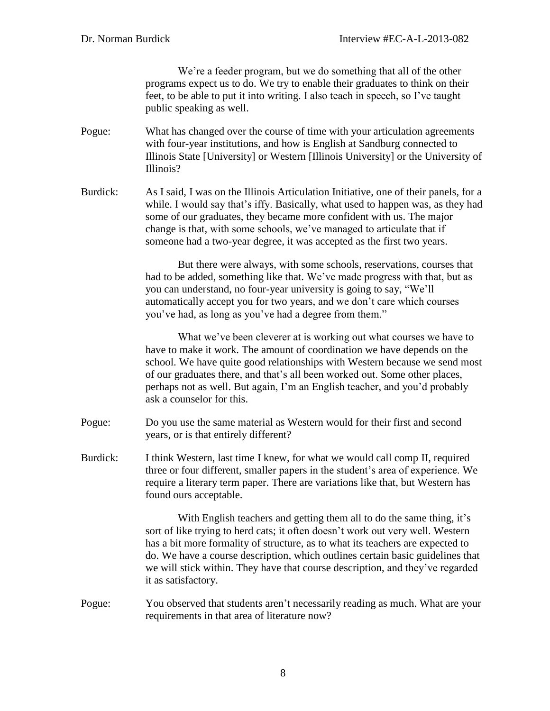We're a feeder program, but we do something that all of the other programs expect us to do. We try to enable their graduates to think on their feet, to be able to put it into writing. I also teach in speech, so I've taught public speaking as well.

- Pogue: What has changed over the course of time with your articulation agreements with four-year institutions, and how is English at Sandburg connected to Illinois State [University] or Western [Illinois University] or the University of Illinois?
- Burdick: As I said, I was on the Illinois Articulation Initiative, one of their panels, for a while. I would say that's iffy. Basically, what used to happen was, as they had some of our graduates, they became more confident with us. The major change is that, with some schools, we've managed to articulate that if someone had a two-year degree, it was accepted as the first two years.

But there were always, with some schools, reservations, courses that had to be added, something like that. We've made progress with that, but as you can understand, no four-year university is going to say, "We'll automatically accept you for two years, and we don't care which courses you've had, as long as you've had a degree from them."

What we've been cleverer at is working out what courses we have to have to make it work. The amount of coordination we have depends on the school. We have quite good relationships with Western because we send most of our graduates there, and that's all been worked out. Some other places, perhaps not as well. But again, I'm an English teacher, and you'd probably ask a counselor for this.

- Pogue: Do you use the same material as Western would for their first and second years, or is that entirely different?
- Burdick: I think Western, last time I knew, for what we would call comp II, required three or four different, smaller papers in the student's area of experience. We require a literary term paper. There are variations like that, but Western has found ours acceptable.

With English teachers and getting them all to do the same thing, it's sort of like trying to herd cats; it often doesn't work out very well. Western has a bit more formality of structure, as to what its teachers are expected to do. We have a course description, which outlines certain basic guidelines that we will stick within. They have that course description, and they've regarded it as satisfactory.

Pogue: You observed that students aren't necessarily reading as much. What are your requirements in that area of literature now?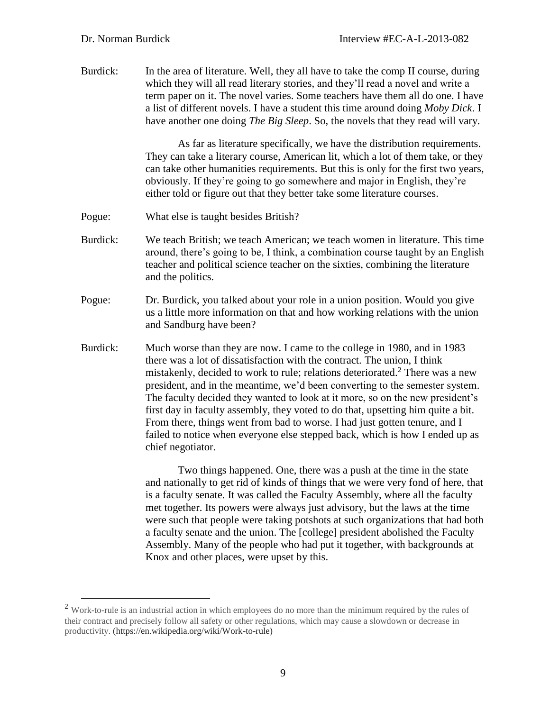$\overline{a}$ 

Burdick: In the area of literature. Well, they all have to take the comp II course, during which they will all read literary stories, and they'll read a novel and write a term paper on it. The novel varies. Some teachers have them all do one. I have a list of different novels. I have a student this time around doing *Moby Dick*. I have another one doing *The Big Sleep*. So, the novels that they read will vary.

> As far as literature specifically, we have the distribution requirements. They can take a literary course, American lit, which a lot of them take, or they can take other humanities requirements. But this is only for the first two years, obviously. If they're going to go somewhere and major in English, they're either told or figure out that they better take some literature courses.

- Pogue: What else is taught besides British?
- Burdick: We teach British; we teach American; we teach women in literature. This time around, there's going to be, I think, a combination course taught by an English teacher and political science teacher on the sixties, combining the literature and the politics.
- Pogue: Dr. Burdick, you talked about your role in a union position. Would you give us a little more information on that and how working relations with the union and Sandburg have been?
- Burdick: Much worse than they are now. I came to the college in 1980, and in 1983 there was a lot of dissatisfaction with the contract. The union, I think mistakenly, decided to work to rule; relations deteriorated.<sup>2</sup> There was a new president, and in the meantime, we'd been converting to the semester system. The faculty decided they wanted to look at it more, so on the new president's first day in faculty assembly, they voted to do that, upsetting him quite a bit. From there, things went from bad to worse. I had just gotten tenure, and I failed to notice when everyone else stepped back, which is how I ended up as chief negotiator.

Two things happened. One, there was a push at the time in the state and nationally to get rid of kinds of things that we were very fond of here, that is a faculty senate. It was called the Faculty Assembly, where all the faculty met together. Its powers were always just advisory, but the laws at the time were such that people were taking potshots at such organizations that had both a faculty senate and the union. The [college] president abolished the Faculty Assembly. Many of the people who had put it together, with backgrounds at Knox and other places, were upset by this.

<sup>&</sup>lt;sup>2</sup> Work-to-rule is an industrial action in which employees do no more than the minimum required by the rules of their contract and precisely follow all safety or other regulations, which may cause a slowdown or decrease in productivity. (https://en.wikipedia.org/wiki/Work-to-rule)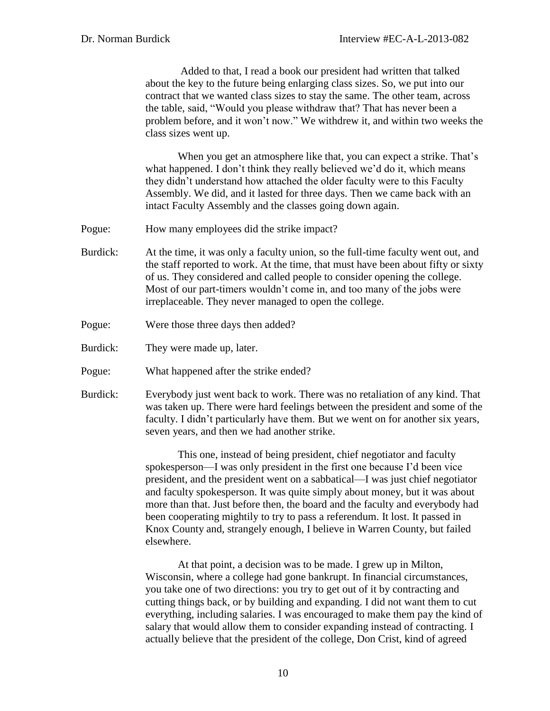Added to that, I read a book our president had written that talked about the key to the future being enlarging class sizes. So, we put into our contract that we wanted class sizes to stay the same. The other team, across the table, said, "Would you please withdraw that? That has never been a problem before, and it won't now." We withdrew it, and within two weeks the class sizes went up.

When you get an atmosphere like that, you can expect a strike. That's what happened. I don't think they really believed we'd do it, which means they didn't understand how attached the older faculty were to this Faculty Assembly. We did, and it lasted for three days. Then we came back with an intact Faculty Assembly and the classes going down again.

- Pogue: How many employees did the strike impact?
- Burdick: At the time, it was only a faculty union, so the full-time faculty went out, and the staff reported to work. At the time, that must have been about fifty or sixty of us. They considered and called people to consider opening the college. Most of our part-timers wouldn't come in, and too many of the jobs were irreplaceable. They never managed to open the college.
- Pogue: Were those three days then added?
- Burdick: They were made up, later.
- Pogue: What happened after the strike ended?
- Burdick: Everybody just went back to work. There was no retaliation of any kind. That was taken up. There were hard feelings between the president and some of the faculty. I didn't particularly have them. But we went on for another six years, seven years, and then we had another strike.

This one, instead of being president, chief negotiator and faculty spokesperson—I was only president in the first one because I'd been vice president, and the president went on a sabbatical—I was just chief negotiator and faculty spokesperson. It was quite simply about money, but it was about more than that. Just before then, the board and the faculty and everybody had been cooperating mightily to try to pass a referendum. It lost. It passed in Knox County and, strangely enough, I believe in Warren County, but failed elsewhere.

At that point, a decision was to be made. I grew up in Milton, Wisconsin, where a college had gone bankrupt. In financial circumstances, you take one of two directions: you try to get out of it by contracting and cutting things back, or by building and expanding. I did not want them to cut everything, including salaries. I was encouraged to make them pay the kind of salary that would allow them to consider expanding instead of contracting. I actually believe that the president of the college, Don Crist, kind of agreed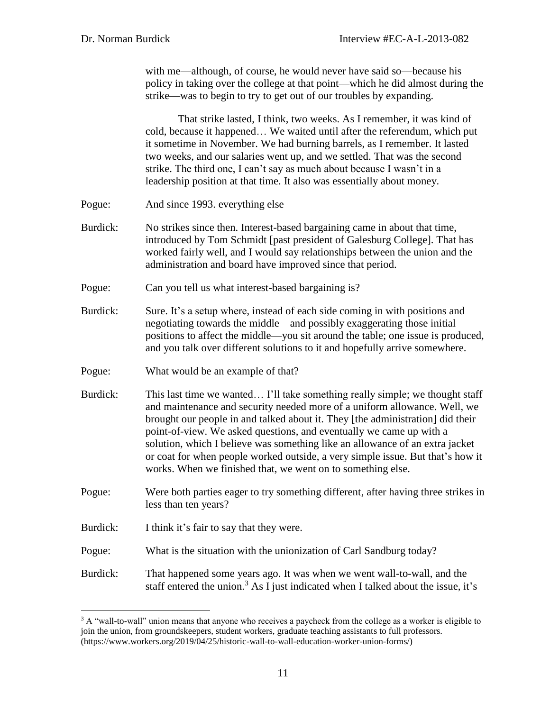with me—although, of course, he would never have said so—because his policy in taking over the college at that point—which he did almost during the strike—was to begin to try to get out of our troubles by expanding.

That strike lasted, I think, two weeks. As I remember, it was kind of cold, because it happened… We waited until after the referendum, which put it sometime in November. We had burning barrels, as I remember. It lasted two weeks, and our salaries went up, and we settled. That was the second strike. The third one, I can't say as much about because I wasn't in a leadership position at that time. It also was essentially about money.

- Pogue: And since 1993. everything else—
- Burdick: No strikes since then. Interest-based bargaining came in about that time, introduced by Tom Schmidt [past president of Galesburg College]. That has worked fairly well, and I would say relationships between the union and the administration and board have improved since that period.
- Pogue: Can you tell us what interest-based bargaining is?
- Burdick: Sure. It's a setup where, instead of each side coming in with positions and negotiating towards the middle—and possibly exaggerating those initial positions to affect the middle—you sit around the table; one issue is produced, and you talk over different solutions to it and hopefully arrive somewhere.
- Pogue: What would be an example of that?
- Burdick: This last time we wanted... I'll take something really simple; we thought staff and maintenance and security needed more of a uniform allowance. Well, we brought our people in and talked about it. They [the administration] did their point-of-view. We asked questions, and eventually we came up with a solution, which I believe was something like an allowance of an extra jacket or coat for when people worked outside, a very simple issue. But that's how it works. When we finished that, we went on to something else.
- Pogue: Were both parties eager to try something different, after having three strikes in less than ten years?
- Burdick: I think it's fair to say that they were.

 $\overline{a}$ 

- Pogue: What is the situation with the unionization of Carl Sandburg today?
- Burdick: That happened some years ago. It was when we went wall-to-wall, and the staff entered the union.<sup>3</sup> As I just indicated when I talked about the issue, it's

 $3$  A "wall-to-wall" union means that anyone who receives a paycheck from the college as a worker is eligible to join the union, from groundskeepers, student workers, graduate teaching assistants to full professors. (https://www.workers.org/2019/04/25/historic-wall-to-wall-education-worker-union-forms/)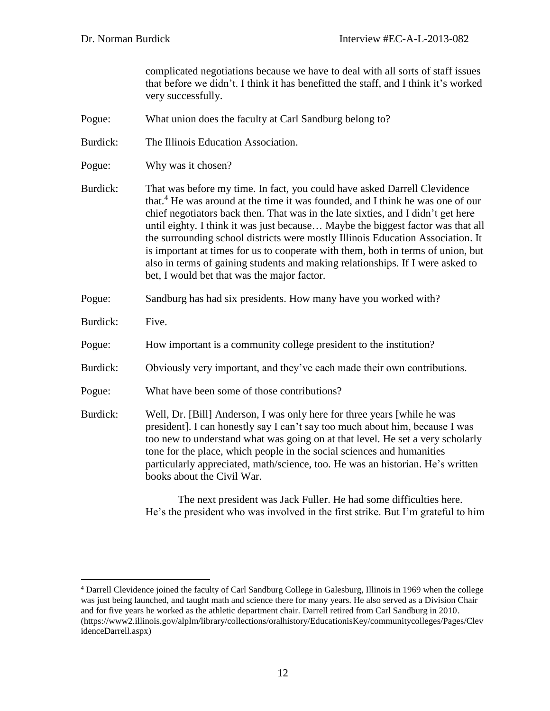complicated negotiations because we have to deal with all sorts of staff issues that before we didn't. I think it has benefitted the staff, and I think it's worked very successfully.

- Pogue: What union does the faculty at Carl Sandburg belong to?
- Burdick: The Illinois Education Association.
- Pogue: Why was it chosen?

Burdick: That was before my time. In fact, you could have asked Darrell Clevidence that.<sup>4</sup> He was around at the time it was founded, and I think he was one of our chief negotiators back then. That was in the late sixties, and I didn't get here until eighty. I think it was just because… Maybe the biggest factor was that all the surrounding school districts were mostly Illinois Education Association. It is important at times for us to cooperate with them, both in terms of union, but also in terms of gaining students and making relationships. If I were asked to bet, I would bet that was the major factor.

- Pogue: Sandburg has had six presidents. How many have you worked with?
- Burdick: Five.

 $\overline{a}$ 

- Pogue: How important is a community college president to the institution?
- Burdick: Obviously very important, and they've each made their own contributions.
- Pogue: What have been some of those contributions?
- Burdick: Well, Dr. [Bill] Anderson, I was only here for three years [while he was president]. I can honestly say I can't say too much about him, because I was too new to understand what was going on at that level. He set a very scholarly tone for the place, which people in the social sciences and humanities particularly appreciated, math/science, too. He was an historian. He's written books about the Civil War.

The next president was Jack Fuller. He had some difficulties here. He's the president who was involved in the first strike. But I'm grateful to him

<sup>4</sup> Darrell Clevidence joined the faculty of Carl Sandburg College in Galesburg, Illinois in 1969 when the college was just being launched, and taught math and science there for many years. He also served as a Division Chair and for five years he worked as the athletic department chair. Darrell retired from Carl Sandburg in 2010. (https://www2.illinois.gov/alplm/library/collections/oralhistory/EducationisKey/communitycolleges/Pages/Clev idenceDarrell.aspx)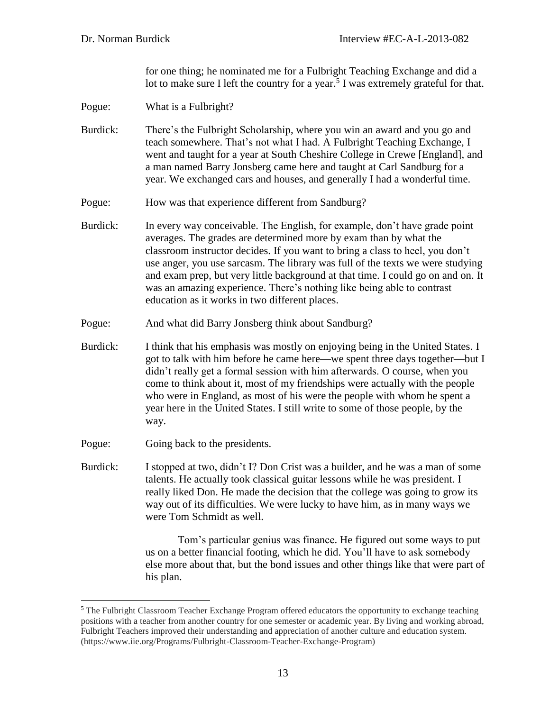for one thing; he nominated me for a Fulbright Teaching Exchange and did a lot to make sure I left the country for a year.<sup>5</sup> I was extremely grateful for that.

Pogue: What is a Fulbright?

Burdick: There's the Fulbright Scholarship, where you win an award and you go and teach somewhere. That's not what I had. A Fulbright Teaching Exchange, I went and taught for a year at South Cheshire College in Crewe [England], and a man named Barry Jonsberg came here and taught at Carl Sandburg for a year. We exchanged cars and houses, and generally I had a wonderful time.

Pogue: How was that experience different from Sandburg?

Burdick: In every way conceivable. The English, for example, don't have grade point averages. The grades are determined more by exam than by what the classroom instructor decides. If you want to bring a class to heel, you don't use anger, you use sarcasm. The library was full of the texts we were studying and exam prep, but very little background at that time. I could go on and on. It was an amazing experience. There's nothing like being able to contrast education as it works in two different places.

Pogue: And what did Barry Jonsberg think about Sandburg?

Burdick: I think that his emphasis was mostly on enjoying being in the United States. I got to talk with him before he came here—we spent three days together—but I didn't really get a formal session with him afterwards. O course, when you come to think about it, most of my friendships were actually with the people who were in England, as most of his were the people with whom he spent a year here in the United States. I still write to some of those people, by the way.

Pogue: Going back to the presidents.

 $\overline{a}$ 

Burdick: I stopped at two, didn't I? Don Crist was a builder, and he was a man of some talents. He actually took classical guitar lessons while he was president. I really liked Don. He made the decision that the college was going to grow its way out of its difficulties. We were lucky to have him, as in many ways we were Tom Schmidt as well.

> Tom's particular genius was finance. He figured out some ways to put us on a better financial footing, which he did. You'll have to ask somebody else more about that, but the bond issues and other things like that were part of his plan.

<sup>&</sup>lt;sup>5</sup> The Fulbright Classroom Teacher Exchange Program offered educators the opportunity to exchange teaching positions with a teacher from another country for one semester or academic year. By living and working abroad, Fulbright Teachers improved their understanding and appreciation of another culture and education system. (https://www.iie.org/Programs/Fulbright-Classroom-Teacher-Exchange-Program)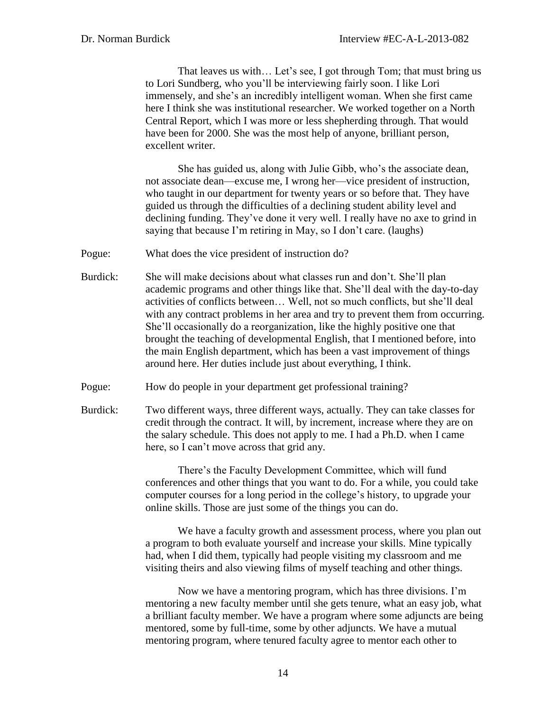That leaves us with... Let's see, I got through Tom; that must bring us to Lori Sundberg, who you'll be interviewing fairly soon. I like Lori immensely, and she's an incredibly intelligent woman. When she first came here I think she was institutional researcher. We worked together on a North Central Report, which I was more or less shepherding through. That would have been for 2000. She was the most help of anyone, brilliant person, excellent writer.

She has guided us, along with Julie Gibb, who's the associate dean, not associate dean—excuse me, I wrong her—vice president of instruction, who taught in our department for twenty years or so before that. They have guided us through the difficulties of a declining student ability level and declining funding. They've done it very well. I really have no axe to grind in saying that because I'm retiring in May, so I don't care. (laughs)

Pogue: What does the vice president of instruction do?

- Burdick: She will make decisions about what classes run and don't. She'll plan academic programs and other things like that. She'll deal with the day-to-day activities of conflicts between… Well, not so much conflicts, but she'll deal with any contract problems in her area and try to prevent them from occurring. She'll occasionally do a reorganization, like the highly positive one that brought the teaching of developmental English, that I mentioned before, into the main English department, which has been a vast improvement of things around here. Her duties include just about everything, I think.
- Pogue: How do people in your department get professional training?
- Burdick: Two different ways, three different ways, actually. They can take classes for credit through the contract. It will, by increment, increase where they are on the salary schedule. This does not apply to me. I had a Ph.D. when I came here, so I can't move across that grid any.

There's the Faculty Development Committee, which will fund conferences and other things that you want to do. For a while, you could take computer courses for a long period in the college's history, to upgrade your online skills. Those are just some of the things you can do.

We have a faculty growth and assessment process, where you plan out a program to both evaluate yourself and increase your skills. Mine typically had, when I did them, typically had people visiting my classroom and me visiting theirs and also viewing films of myself teaching and other things.

Now we have a mentoring program, which has three divisions. I'm mentoring a new faculty member until she gets tenure, what an easy job, what a brilliant faculty member. We have a program where some adjuncts are being mentored, some by full-time, some by other adjuncts. We have a mutual mentoring program, where tenured faculty agree to mentor each other to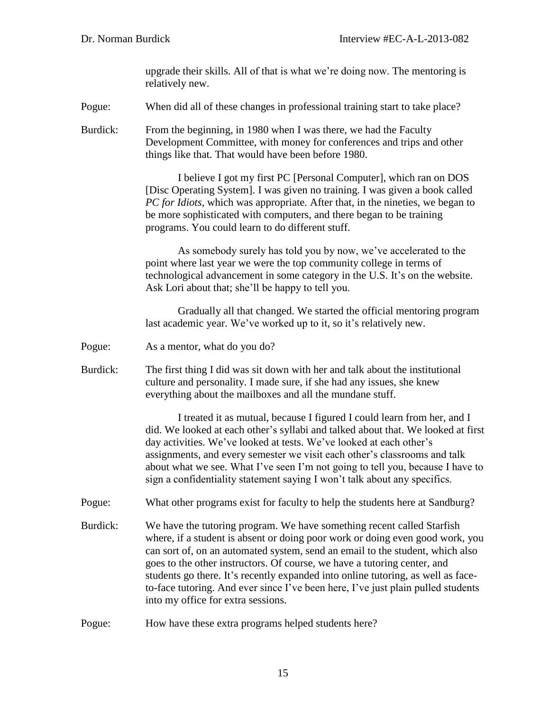upgrade their skills. All of that is what we're doing now. The mentoring is relatively new.

Pogue: When did all of these changes in professional training start to take place?

Burdick: From the beginning, in 1980 when I was there, we had the Faculty Development Committee, with money for conferences and trips and other things like that. That would have been before 1980.

> I believe I got my first PC [Personal Computer], which ran on DOS [Disc Operating System]. I was given no training. I was given a book called *PC for Idiots*, which was appropriate. After that, in the nineties, we began to be more sophisticated with computers, and there began to be training programs. You could learn to do different stuff.

> As somebody surely has told you by now, we've accelerated to the point where last year we were the top community college in terms of technological advancement in some category in the U.S. It's on the website. Ask Lori about that; she'll be happy to tell you.

Gradually all that changed. We started the official mentoring program last academic year. We've worked up to it, so it's relatively new.

- Pogue: As a mentor, what do you do?
- Burdick: The first thing I did was sit down with her and talk about the institutional culture and personality. I made sure, if she had any issues, she knew everything about the mailboxes and all the mundane stuff.

I treated it as mutual, because I figured I could learn from her, and I did. We looked at each other's syllabi and talked about that. We looked at first day activities. We've looked at tests. We've looked at each other's assignments, and every semester we visit each other's classrooms and talk about what we see. What I've seen I'm not going to tell you, because I have to sign a confidentiality statement saying I won't talk about any specifics.

Pogue: What other programs exist for faculty to help the students here at Sandburg?

Burdick: We have the tutoring program. We have something recent called Starfish where, if a student is absent or doing poor work or doing even good work, you can sort of, on an automated system, send an email to the student, which also goes to the other instructors. Of course, we have a tutoring center, and students go there. It's recently expanded into online tutoring, as well as faceto-face tutoring. And ever since I've been here, I've just plain pulled students into my office for extra sessions.

Pogue: How have these extra programs helped students here?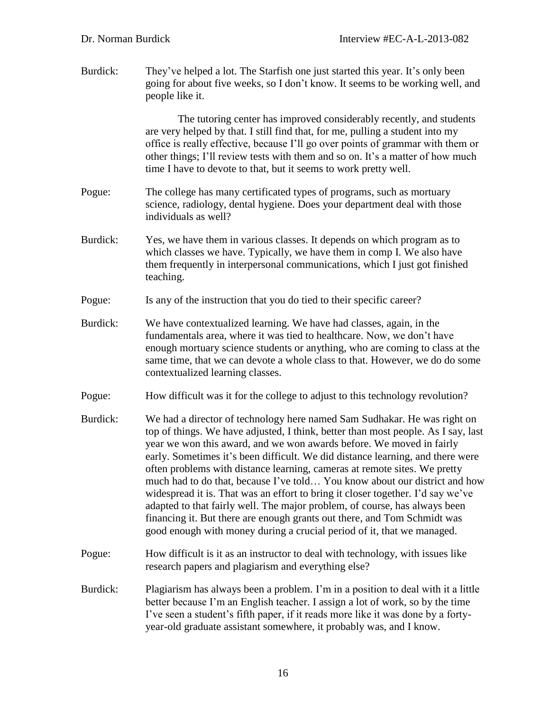| Burdick: | They've helped a lot. The Starfish one just started this year. It's only been<br>going for about five weeks, so I don't know. It seems to be working well, and<br>people like it.                                                                                                                                                                                                                                                                                                                                                                                                                                                                                                                                                                                                                         |
|----------|-----------------------------------------------------------------------------------------------------------------------------------------------------------------------------------------------------------------------------------------------------------------------------------------------------------------------------------------------------------------------------------------------------------------------------------------------------------------------------------------------------------------------------------------------------------------------------------------------------------------------------------------------------------------------------------------------------------------------------------------------------------------------------------------------------------|
|          | The tutoring center has improved considerably recently, and students<br>are very helped by that. I still find that, for me, pulling a student into my<br>office is really effective, because I'll go over points of grammar with them or<br>other things; I'll review tests with them and so on. It's a matter of how much<br>time I have to devote to that, but it seems to work pretty well.                                                                                                                                                                                                                                                                                                                                                                                                            |
| Pogue:   | The college has many certificated types of programs, such as mortuary<br>science, radiology, dental hygiene. Does your department deal with those<br>individuals as well?                                                                                                                                                                                                                                                                                                                                                                                                                                                                                                                                                                                                                                 |
| Burdick: | Yes, we have them in various classes. It depends on which program as to<br>which classes we have. Typically, we have them in comp I. We also have<br>them frequently in interpersonal communications, which I just got finished<br>teaching.                                                                                                                                                                                                                                                                                                                                                                                                                                                                                                                                                              |
| Pogue:   | Is any of the instruction that you do tied to their specific career?                                                                                                                                                                                                                                                                                                                                                                                                                                                                                                                                                                                                                                                                                                                                      |
| Burdick: | We have contextualized learning. We have had classes, again, in the<br>fundamentals area, where it was tied to healthcare. Now, we don't have<br>enough mortuary science students or anything, who are coming to class at the<br>same time, that we can devote a whole class to that. However, we do do some<br>contextualized learning classes.                                                                                                                                                                                                                                                                                                                                                                                                                                                          |
| Pogue:   | How difficult was it for the college to adjust to this technology revolution?                                                                                                                                                                                                                                                                                                                                                                                                                                                                                                                                                                                                                                                                                                                             |
| Burdick: | We had a director of technology here named Sam Sudhakar. He was right on<br>top of things. We have adjusted, I think, better than most people. As I say, last<br>year we won this award, and we won awards before. We moved in fairly<br>early. Sometimes it's been difficult. We did distance learning, and there were<br>often problems with distance learning, cameras at remote sites. We pretty<br>much had to do that, because I've told You know about our district and how<br>widespread it is. That was an effort to bring it closer together. I'd say we've<br>adapted to that fairly well. The major problem, of course, has always been<br>financing it. But there are enough grants out there, and Tom Schmidt was<br>good enough with money during a crucial period of it, that we managed. |
| Pogue:   | How difficult is it as an instructor to deal with technology, with issues like<br>research papers and plagiarism and everything else?                                                                                                                                                                                                                                                                                                                                                                                                                                                                                                                                                                                                                                                                     |
| Burdick: | Plagiarism has always been a problem. I'm in a position to deal with it a little<br>better because I'm an English teacher. I assign a lot of work, so by the time<br>I've seen a student's fifth paper, if it reads more like it was done by a forty-<br>year-old graduate assistant somewhere, it probably was, and I know.                                                                                                                                                                                                                                                                                                                                                                                                                                                                              |
|          |                                                                                                                                                                                                                                                                                                                                                                                                                                                                                                                                                                                                                                                                                                                                                                                                           |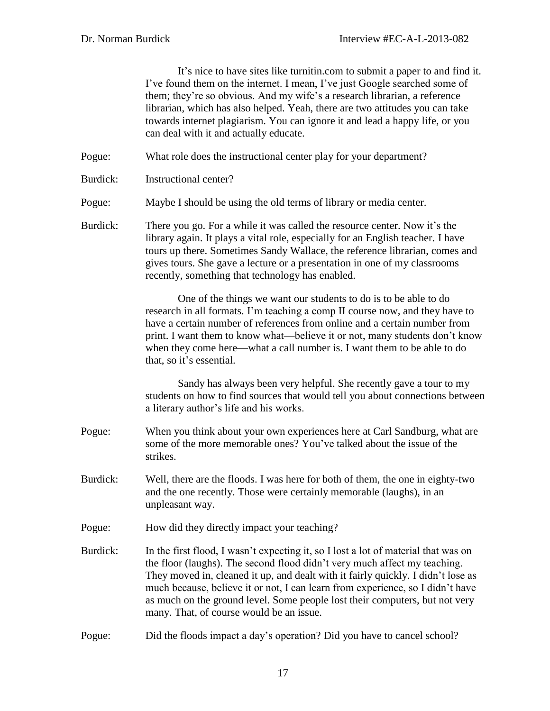It's nice to have sites like turnitin.com to submit a paper to and find it. I've found them on the internet. I mean, I've just Google searched some of them; they're so obvious. And my wife's a research librarian, a reference librarian, which has also helped. Yeah, there are two attitudes you can take towards internet plagiarism. You can ignore it and lead a happy life, or you can deal with it and actually educate.

- Pogue: What role does the instructional center play for your department?
- Burdick: Instructional center?
- Pogue: Maybe I should be using the old terms of library or media center.
- Burdick: There you go. For a while it was called the resource center. Now it's the library again. It plays a vital role, especially for an English teacher. I have tours up there. Sometimes Sandy Wallace, the reference librarian, comes and gives tours. She gave a lecture or a presentation in one of my classrooms recently, something that technology has enabled.

One of the things we want our students to do is to be able to do research in all formats. I'm teaching a comp II course now, and they have to have a certain number of references from online and a certain number from print. I want them to know what—believe it or not, many students don't know when they come here—what a call number is. I want them to be able to do that, so it's essential.

Sandy has always been very helpful. She recently gave a tour to my students on how to find sources that would tell you about connections between a literary author's life and his works.

- Pogue: When you think about your own experiences here at Carl Sandburg, what are some of the more memorable ones? You've talked about the issue of the strikes.
- Burdick: Well, there are the floods. I was here for both of them, the one in eighty-two and the one recently. Those were certainly memorable (laughs), in an unpleasant way.
- Pogue: How did they directly impact your teaching?
- Burdick: In the first flood, I wasn't expecting it, so I lost a lot of material that was on the floor (laughs). The second flood didn't very much affect my teaching. They moved in, cleaned it up, and dealt with it fairly quickly. I didn't lose as much because, believe it or not, I can learn from experience, so I didn't have as much on the ground level. Some people lost their computers, but not very many. That, of course would be an issue.
- Pogue: Did the floods impact a day's operation? Did you have to cancel school?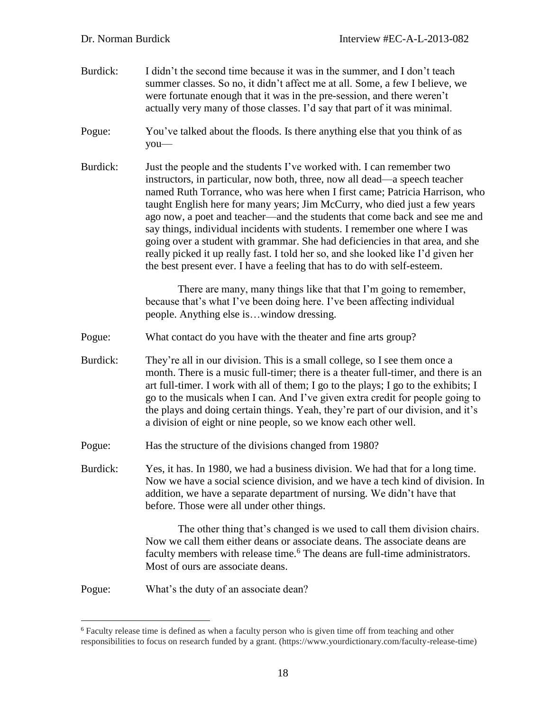- Burdick: I didn't the second time because it was in the summer, and I don't teach summer classes. So no, it didn't affect me at all. Some, a few I believe, we were fortunate enough that it was in the pre-session, and there weren't actually very many of those classes. I'd say that part of it was minimal.
- Pogue: You've talked about the floods. Is there anything else that you think of as you—
- Burdick: Just the people and the students I've worked with. I can remember two instructors, in particular, now both, three, now all dead—a speech teacher named Ruth Torrance, who was here when I first came; Patricia Harrison, who taught English here for many years; Jim McCurry, who died just a few years ago now, a poet and teacher—and the students that come back and see me and say things, individual incidents with students. I remember one where I was going over a student with grammar. She had deficiencies in that area, and she really picked it up really fast. I told her so, and she looked like I'd given her the best present ever. I have a feeling that has to do with self-esteem.

There are many, many things like that that I'm going to remember, because that's what I've been doing here. I've been affecting individual people. Anything else is…window dressing.

- Pogue: What contact do you have with the theater and fine arts group?
- Burdick: They're all in our division. This is a small college, so I see them once a month. There is a music full-timer; there is a theater full-timer, and there is an art full-timer. I work with all of them; I go to the plays; I go to the exhibits; I go to the musicals when I can. And I've given extra credit for people going to the plays and doing certain things. Yeah, they're part of our division, and it's a division of eight or nine people, so we know each other well.
- Pogue: Has the structure of the divisions changed from 1980?

Burdick: Yes, it has. In 1980, we had a business division. We had that for a long time. Now we have a social science division, and we have a tech kind of division. In addition, we have a separate department of nursing. We didn't have that before. Those were all under other things.

> The other thing that's changed is we used to call them division chairs. Now we call them either deans or associate deans. The associate deans are faculty members with release time.<sup>6</sup> The deans are full-time administrators. Most of ours are associate deans.

Pogue: What's the duty of an associate dean?

 $\overline{a}$ 

<sup>6</sup> Faculty release time is defined as when a faculty person who is given time off from teaching and other responsibilities to focus on research funded by a grant. (https://www.yourdictionary.com/faculty-release-time)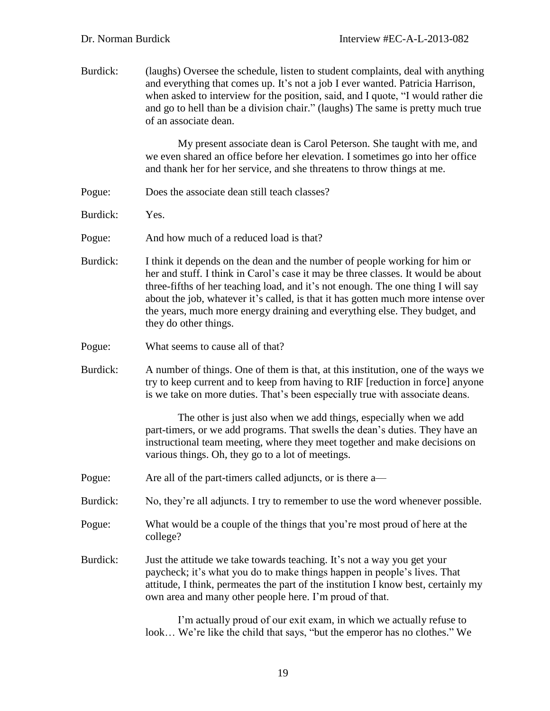| Burdick: | (laughs) Oversee the schedule, listen to student complaints, deal with anything<br>and everything that comes up. It's not a job I ever wanted. Patricia Harrison,<br>when asked to interview for the position, said, and I quote, "I would rather die<br>and go to hell than be a division chair." (laughs) The same is pretty much true<br>of an associate dean.                                                                               |
|----------|-------------------------------------------------------------------------------------------------------------------------------------------------------------------------------------------------------------------------------------------------------------------------------------------------------------------------------------------------------------------------------------------------------------------------------------------------|
|          | My present associate dean is Carol Peterson. She taught with me, and<br>we even shared an office before her elevation. I sometimes go into her office<br>and thank her for her service, and she threatens to throw things at me.                                                                                                                                                                                                                |
| Pogue:   | Does the associate dean still teach classes?                                                                                                                                                                                                                                                                                                                                                                                                    |
| Burdick: | Yes.                                                                                                                                                                                                                                                                                                                                                                                                                                            |
| Pogue:   | And how much of a reduced load is that?                                                                                                                                                                                                                                                                                                                                                                                                         |
| Burdick: | I think it depends on the dean and the number of people working for him or<br>her and stuff. I think in Carol's case it may be three classes. It would be about<br>three-fifths of her teaching load, and it's not enough. The one thing I will say<br>about the job, whatever it's called, is that it has gotten much more intense over<br>the years, much more energy draining and everything else. They budget, and<br>they do other things. |
| Pogue:   | What seems to cause all of that?                                                                                                                                                                                                                                                                                                                                                                                                                |
| Burdick: | A number of things. One of them is that, at this institution, one of the ways we<br>try to keep current and to keep from having to RIF [reduction in force] anyone<br>is we take on more duties. That's been especially true with associate deans.                                                                                                                                                                                              |
|          | The other is just also when we add things, especially when we add<br>part-timers, or we add programs. That swells the dean's duties. They have an<br>instructional team meeting, where they meet together and make decisions on<br>various things. Oh, they go to a lot of meetings.                                                                                                                                                            |
| Pogue:   | Are all of the part-timers called adjuncts, or is there a—                                                                                                                                                                                                                                                                                                                                                                                      |
| Burdick: | No, they're all adjuncts. I try to remember to use the word whenever possible.                                                                                                                                                                                                                                                                                                                                                                  |
| Pogue:   | What would be a couple of the things that you're most proud of here at the<br>college?                                                                                                                                                                                                                                                                                                                                                          |
| Burdick: | Just the attitude we take towards teaching. It's not a way you get your<br>paycheck; it's what you do to make things happen in people's lives. That<br>attitude, I think, permeates the part of the institution I know best, certainly my<br>own area and many other people here. I'm proud of that.                                                                                                                                            |
|          | I'm actually proud of our exit exam, in which we actually refuse to                                                                                                                                                                                                                                                                                                                                                                             |

look… We're like the child that says, "but the emperor has no clothes." We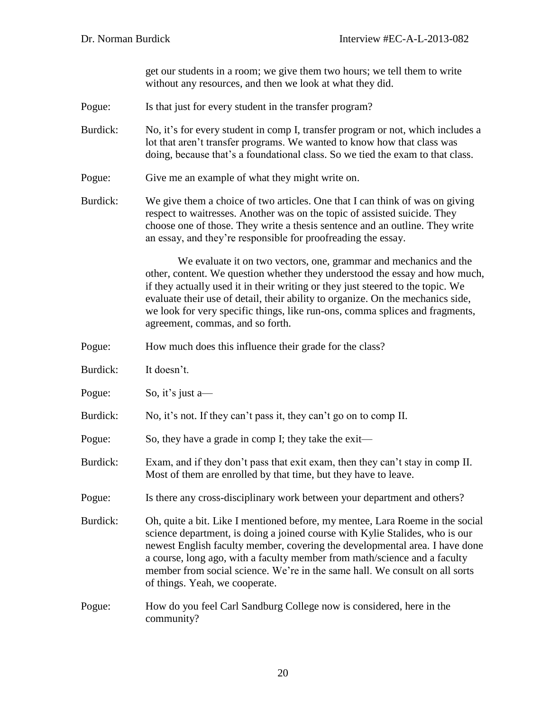get our students in a room; we give them two hours; we tell them to write without any resources, and then we look at what they did.

- Pogue: Is that just for every student in the transfer program?
- Burdick: No, it's for every student in comp I, transfer program or not, which includes a lot that aren't transfer programs. We wanted to know how that class was doing, because that's a foundational class. So we tied the exam to that class.
- Pogue: Give me an example of what they might write on.
- Burdick: We give them a choice of two articles. One that I can think of was on giving respect to waitresses. Another was on the topic of assisted suicide. They choose one of those. They write a thesis sentence and an outline. They write an essay, and they're responsible for proofreading the essay.

We evaluate it on two vectors, one, grammar and mechanics and the other, content. We question whether they understood the essay and how much, if they actually used it in their writing or they just steered to the topic. We evaluate their use of detail, their ability to organize. On the mechanics side, we look for very specific things, like run-ons, comma splices and fragments, agreement, commas, and so forth.

- Pogue: How much does this influence their grade for the class?
- Burdick: It doesn't.
- Pogue: So, it's just a—
- Burdick: No, it's not. If they can't pass it, they can't go on to comp II.
- Pogue: So, they have a grade in comp I; they take the exit—
- Burdick: Exam, and if they don't pass that exit exam, then they can't stay in comp II. Most of them are enrolled by that time, but they have to leave.
- Pogue: Is there any cross-disciplinary work between your department and others?
- Burdick: Oh, quite a bit. Like I mentioned before, my mentee, Lara Roeme in the social science department, is doing a joined course with Kylie Stalides, who is our newest English faculty member, covering the developmental area. I have done a course, long ago, with a faculty member from math/science and a faculty member from social science. We're in the same hall. We consult on all sorts of things. Yeah, we cooperate.
- Pogue: How do you feel Carl Sandburg College now is considered, here in the community?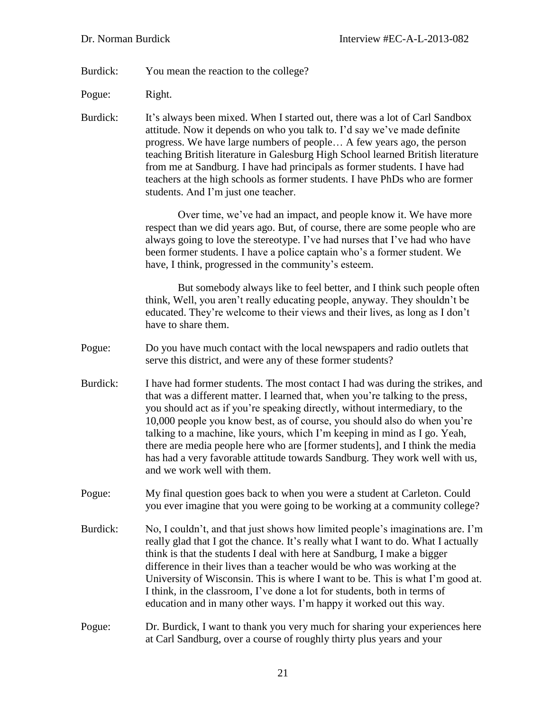Burdick: You mean the reaction to the college?

Pogue: Right.

Burdick: It's always been mixed. When I started out, there was a lot of Carl Sandbox attitude. Now it depends on who you talk to. I'd say we've made definite progress. We have large numbers of people… A few years ago, the person teaching British literature in Galesburg High School learned British literature from me at Sandburg. I have had principals as former students. I have had teachers at the high schools as former students. I have PhDs who are former students. And I'm just one teacher.

> Over time, we've had an impact, and people know it. We have more respect than we did years ago. But, of course, there are some people who are always going to love the stereotype. I've had nurses that I've had who have been former students. I have a police captain who's a former student. We have, I think, progressed in the community's esteem.

But somebody always like to feel better, and I think such people often think, Well, you aren't really educating people, anyway. They shouldn't be educated. They're welcome to their views and their lives, as long as I don't have to share them.

Pogue: Do you have much contact with the local newspapers and radio outlets that serve this district, and were any of these former students?

Burdick: I have had former students. The most contact I had was during the strikes, and that was a different matter. I learned that, when you're talking to the press, you should act as if you're speaking directly, without intermediary, to the 10,000 people you know best, as of course, you should also do when you're talking to a machine, like yours, which I'm keeping in mind as I go. Yeah, there are media people here who are [former students], and I think the media has had a very favorable attitude towards Sandburg. They work well with us, and we work well with them.

Pogue: My final question goes back to when you were a student at Carleton. Could you ever imagine that you were going to be working at a community college?

Burdick: No, I couldn't, and that just shows how limited people's imaginations are. I'm really glad that I got the chance. It's really what I want to do. What I actually think is that the students I deal with here at Sandburg, I make a bigger difference in their lives than a teacher would be who was working at the University of Wisconsin. This is where I want to be. This is what I'm good at. I think, in the classroom, I've done a lot for students, both in terms of education and in many other ways. I'm happy it worked out this way.

Pogue: Dr. Burdick, I want to thank you very much for sharing your experiences here at Carl Sandburg, over a course of roughly thirty plus years and your